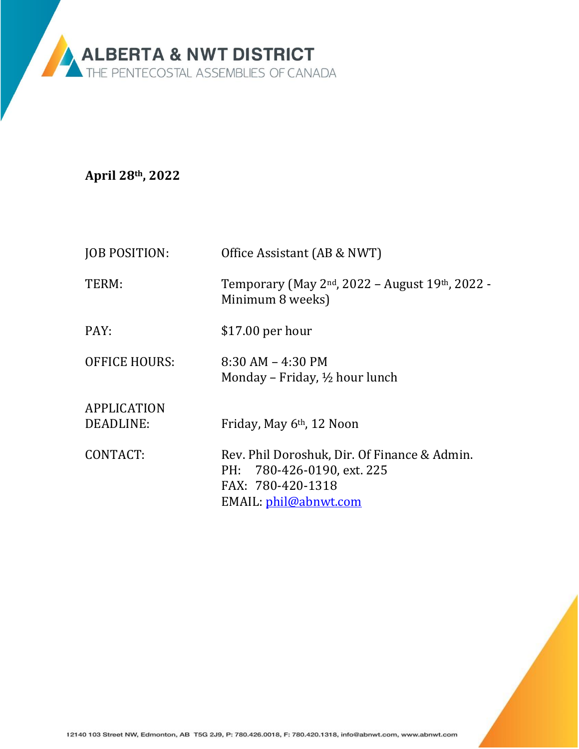

**April 28th, 2022**

| <b>JOB POSITION:</b>                 | Office Assistant (AB & NWT)                                                                                                                                       |
|--------------------------------------|-------------------------------------------------------------------------------------------------------------------------------------------------------------------|
| TERM:                                | Temporary (May 2 <sup>nd</sup> , 2022 – August 19 <sup>th</sup> , 2022 -<br>Minimum 8 weeks)                                                                      |
| PAY:                                 | $$17.00$ per hour                                                                                                                                                 |
| <b>OFFICE HOURS:</b>                 | $8:30$ AM $-$ 4:30 PM<br>Monday – Friday, $\frac{1}{2}$ hour lunch                                                                                                |
| APPLICATION<br>DEADLINE:<br>CONTACT: | Friday, May 6 <sup>th</sup> , 12 Noon<br>Rev. Phil Doroshuk, Dir. Of Finance & Admin.<br>PH: 780-426-0190, ext. 225<br>FAX: 780-420-1318<br>EMAIL: phil@abnwt.com |
|                                      |                                                                                                                                                                   |